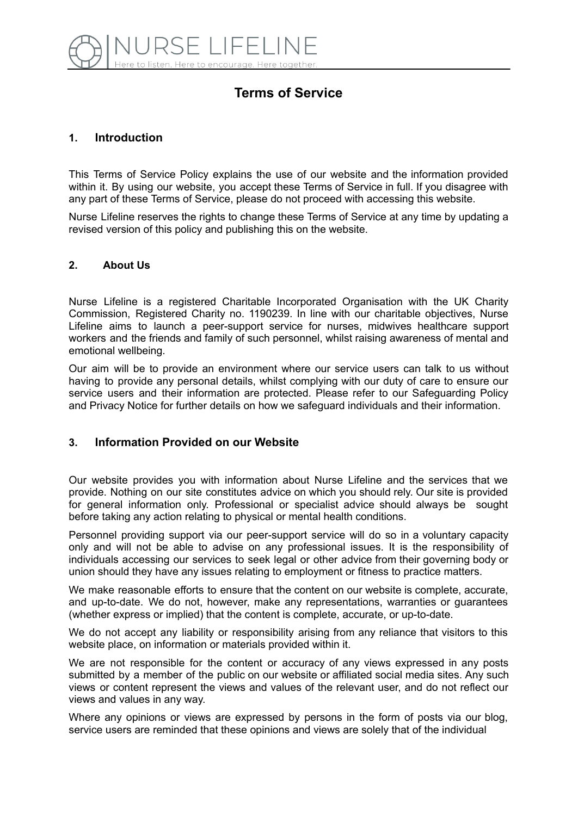

# **Terms of Service**

## **1. Introduction**

This Terms of Service Policy explains the use of our website and the information provided within it. By using our website, you accept these Terms of Service in full. If you disagree with any part of these Terms of Service, please do not proceed with accessing this website.

Nurse Lifeline reserves the rights to change these Terms of Service at any time by updating a revised version of this policy and publishing this on the website.

#### **2. About Us**

Nurse Lifeline is a registered Charitable Incorporated Organisation with the UK Charity Commission, Registered Charity no. 1190239. In line with our charitable objectives, Nurse Lifeline aims to launch a peer-support service for nurses, midwives healthcare support workers and the friends and family of such personnel, whilst raising awareness of mental and emotional wellbeing.

Our aim will be to provide an environment where our service users can talk to us without having to provide any personal details, whilst complying with our duty of care to ensure our service users and their information are protected. Please refer to our Safeguarding Policy and Privacy Notice for further details on how we safeguard individuals and their information.

### **3. Information Provided on our Website**

Our website provides you with information about Nurse Lifeline and the services that we provide. Nothing on our site constitutes advice on which you should rely. Our site is provided for general information only. Professional or specialist advice should always be sought before taking any action relating to physical or mental health conditions.

Personnel providing support via our peer-support service will do so in a voluntary capacity only and will not be able to advise on any professional issues. It is the responsibility of individuals accessing our services to seek legal or other advice from their governing body or union should they have any issues relating to employment or fitness to practice matters.

We make reasonable efforts to ensure that the content on our website is complete, accurate, and up-to-date. We do not, however, make any representations, warranties or guarantees (whether express or implied) that the content is complete, accurate, or up-to-date.

We do not accept any liability or responsibility arising from any reliance that visitors to this website place, on information or materials provided within it.

We are not responsible for the content or accuracy of any views expressed in any posts submitted by a member of the public on our website or affiliated social media sites. Any such views or content represent the views and values of the relevant user, and do not reflect our views and values in any way.

Where any opinions or views are expressed by persons in the form of posts via our blog, service users are reminded that these opinions and views are solely that of the individual